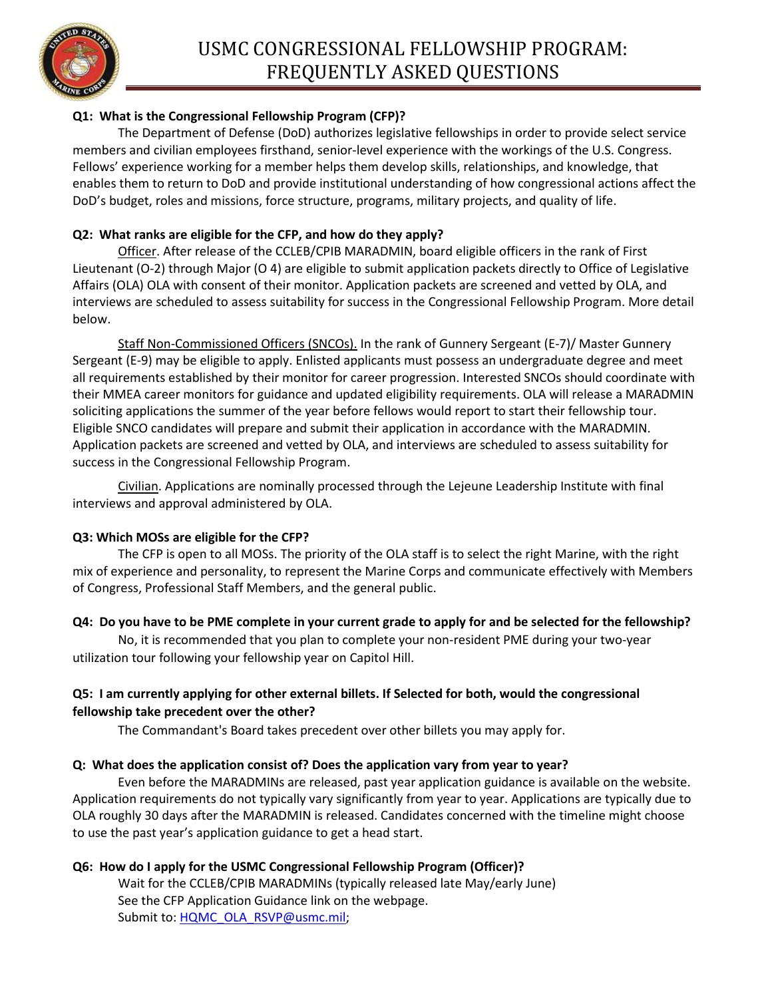

# **Q1: What is the Congressional Fellowship Program (CFP)?**

The Department of Defense (DoD) authorizes legislative fellowships in order to provide select service members and civilian employees firsthand, senior-level experience with the workings of the U.S. Congress. Fellows' experience working for a member helps them develop skills, relationships, and knowledge, that enables them to return to DoD and provide institutional understanding of how congressional actions affect the DoD's budget, roles and missions, force structure, programs, military projects, and quality of life.

## **Q2: What ranks are eligible for the CFP, and how do they apply?**

Officer. After release of the CCLEB/CPIB MARADMIN, board eligible officers in the rank of First Lieutenant (O-2) through Major (O 4) are eligible to submit application packets directly to Office of Legislative Affairs (OLA) OLA with consent of their monitor. Application packets are screened and vetted by OLA, and interviews are scheduled to assess suitability for success in the Congressional Fellowship Program. More detail below.

Staff Non-Commissioned Officers (SNCOs). In the rank of Gunnery Sergeant (E-7)/ Master Gunnery Sergeant (E-9) may be eligible to apply. Enlisted applicants must possess an undergraduate degree and meet all requirements established by their monitor for career progression. Interested SNCOs should coordinate with their MMEA career monitors for guidance and updated eligibility requirements. OLA will release a MARADMIN soliciting applications the summer of the year before fellows would report to start their fellowship tour. Eligible SNCO candidates will prepare and submit their application in accordance with the MARADMIN. Application packets are screened and vetted by OLA, and interviews are scheduled to assess suitability for success in the Congressional Fellowship Program.

Civilian. Applications are nominally processed through the Lejeune Leadership Institute with final interviews and approval administered by OLA.

## **Q3: Which MOSs are eligible for the CFP?**

The CFP is open to all MOSs. The priority of the OLA staff is to select the right Marine, with the right mix of experience and personality, to represent the Marine Corps and communicate effectively with Members of Congress, Professional Staff Members, and the general public.

## **Q4: Do you have to be PME complete in your current grade to apply for and be selected for the fellowship?**

No, it is recommended that you plan to complete your non-resident PME during your two-year utilization tour following your fellowship year on Capitol Hill.

# **Q5: I am currently applying for other external billets. If Selected for both, would the congressional fellowship take precedent over the other?**

The Commandant's Board takes precedent over other billets you may apply for.

## **Q: What does the application consist of? Does the application vary from year to year?**

Even before the MARADMINs are released, past year application guidance is available on the website. Application requirements do not typically vary significantly from year to year. Applications are typically due to OLA roughly 30 days after the MARADMIN is released. Candidates concerned with the timeline might choose to use the past year's application guidance to get a head start.

## **Q6: How do I apply for the USMC Congressional Fellowship Program (Officer)?**

Wait for the CCLEB/CPIB MARADMINs (typically released late May/early June) See the CFP Application Guidance link on the webpage. Submit to: [HQMC\\_OLA\\_RSVP@usmc.mil;](mailto:HQMC_OLA_RSVP@usmc.mil)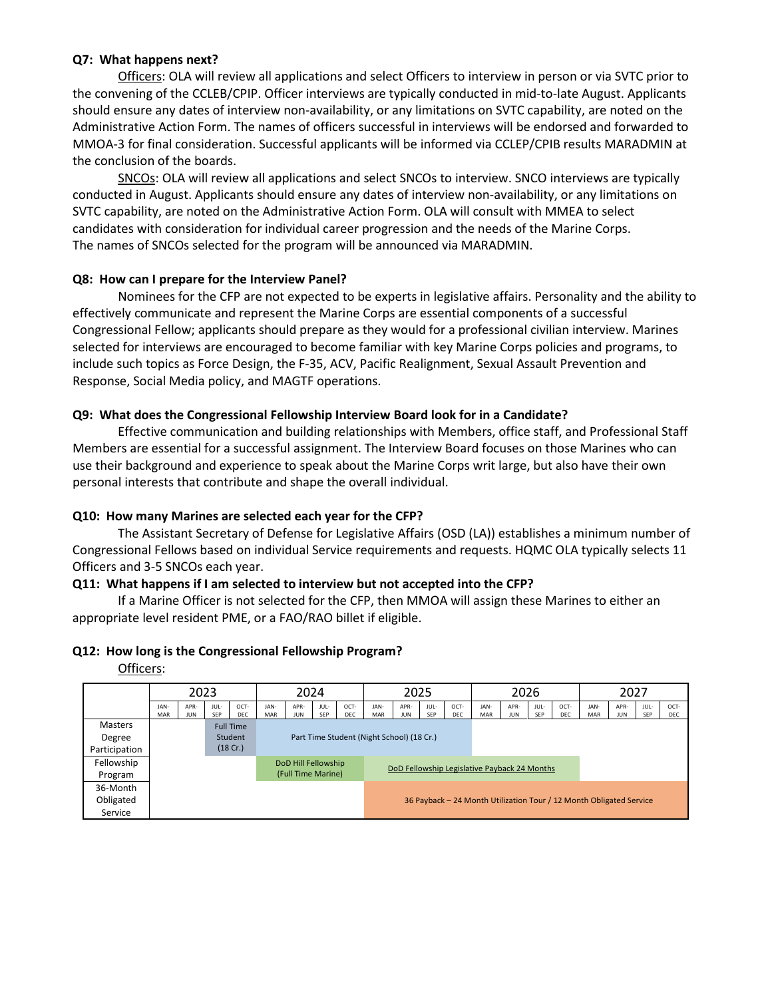### **Q7: What happens next?**

Officers: OLA will review all applications and select Officers to interview in person or via SVTC prior to the convening of the CCLEB/CPIP. Officer interviews are typically conducted in mid-to-late August. Applicants should ensure any dates of interview non-availability, or any limitations on SVTC capability, are noted on the Administrative Action Form. The names of officers successful in interviews will be endorsed and forwarded to MMOA-3 for final consideration. Successful applicants will be informed via CCLEP/CPIB results MARADMIN at the conclusion of the boards.

SNCOs: OLA will review all applications and select SNCOs to interview. SNCO interviews are typically conducted in August. Applicants should ensure any dates of interview non-availability, or any limitations on SVTC capability, are noted on the Administrative Action Form. OLA will consult with MMEA to select candidates with consideration for individual career progression and the needs of the Marine Corps. The names of SNCOs selected for the program will be announced via MARADMIN.

### **Q8: How can I prepare for the Interview Panel?**

Nominees for the CFP are not expected to be experts in legislative affairs. Personality and the ability to effectively communicate and represent the Marine Corps are essential components of a successful Congressional Fellow; applicants should prepare as they would for a professional civilian interview. Marines selected for interviews are encouraged to become familiar with key Marine Corps policies and programs, to include such topics as Force Design, the F-35, ACV, Pacific Realignment, Sexual Assault Prevention and Response, Social Media policy, and MAGTF operations.

### **Q9: What does the Congressional Fellowship Interview Board look for in a Candidate?**

Effective communication and building relationships with Members, office staff, and Professional Staff Members are essential for a successful assignment. The Interview Board focuses on those Marines who can use their background and experience to speak about the Marine Corps writ large, but also have their own personal interests that contribute and shape the overall individual.

## **Q10: How many Marines are selected each year for the CFP?**

The Assistant Secretary of Defense for Legislative Affairs (OSD (LA)) establishes a minimum number of Congressional Fellows based on individual Service requirements and requests. HQMC OLA typically selects 11 Officers and 3-5 SNCOs each year.

### **Q11: What happens if I am selected to interview but not accepted into the CFP?**

If a Marine Officer is not selected for the CFP, then MMOA will assign these Marines to either an appropriate level resident PME, or a FAO/RAO billet if eligible.

### **Q12: How long is the Congressional Fellowship Program?**

Officers:

|               | 2023                                                                |             |             |                  | 2024                                                                |                    |                    |             |             | 2025               |                    |                    |                    | 2026               |                    |                    | 2027               |                    |                    |                    |
|---------------|---------------------------------------------------------------------|-------------|-------------|------------------|---------------------------------------------------------------------|--------------------|--------------------|-------------|-------------|--------------------|--------------------|--------------------|--------------------|--------------------|--------------------|--------------------|--------------------|--------------------|--------------------|--------------------|
|               | JAN-<br>MAR                                                         | APR-<br>JUN | JUL-<br>SEP | OCT-<br>DEC      | JAN-<br><b>MAR</b>                                                  | APR-<br><b>JUN</b> | JUL-<br><b>SEP</b> | OCT-<br>DEC | JAN-<br>MAR | APR-<br><b>JUN</b> | JUL-<br><b>SEP</b> | OCT-<br><b>DEC</b> | JAN-<br><b>MAR</b> | APR-<br><b>JUN</b> | JUL-<br><b>SEP</b> | OCT-<br><b>DEC</b> | JAN-<br><b>MAR</b> | APR-<br><b>JUN</b> | JUL-<br><b>SEP</b> | OCT-<br><b>DEC</b> |
| Masters       |                                                                     |             |             | <b>Full Time</b> |                                                                     |                    |                    |             |             |                    |                    |                    |                    |                    |                    |                    |                    |                    |                    |                    |
| Degree        |                                                                     |             |             | Student          | Part Time Student (Night School) (18 Cr.)                           |                    |                    |             |             |                    |                    |                    |                    |                    |                    |                    |                    |                    |                    |                    |
| Participation |                                                                     |             |             | (18 Cr.)         |                                                                     |                    |                    |             |             |                    |                    |                    |                    |                    |                    |                    |                    |                    |                    |                    |
| Fellowship    |                                                                     |             |             |                  | DoD Hill Fellowship<br>DoD Fellowship Legislative Payback 24 Months |                    |                    |             |             |                    |                    |                    |                    |                    |                    |                    |                    |                    |                    |                    |
| Program       |                                                                     |             |             |                  |                                                                     | (Full Time Marine) |                    |             |             |                    |                    |                    |                    |                    |                    |                    |                    |                    |                    |                    |
| 36-Month      |                                                                     |             |             |                  |                                                                     |                    |                    |             |             |                    |                    |                    |                    |                    |                    |                    |                    |                    |                    |                    |
| Obligated     | 36 Payback - 24 Month Utilization Tour / 12 Month Obligated Service |             |             |                  |                                                                     |                    |                    |             |             |                    |                    |                    |                    |                    |                    |                    |                    |                    |                    |                    |
| Service       |                                                                     |             |             |                  |                                                                     |                    |                    |             |             |                    |                    |                    |                    |                    |                    |                    |                    |                    |                    |                    |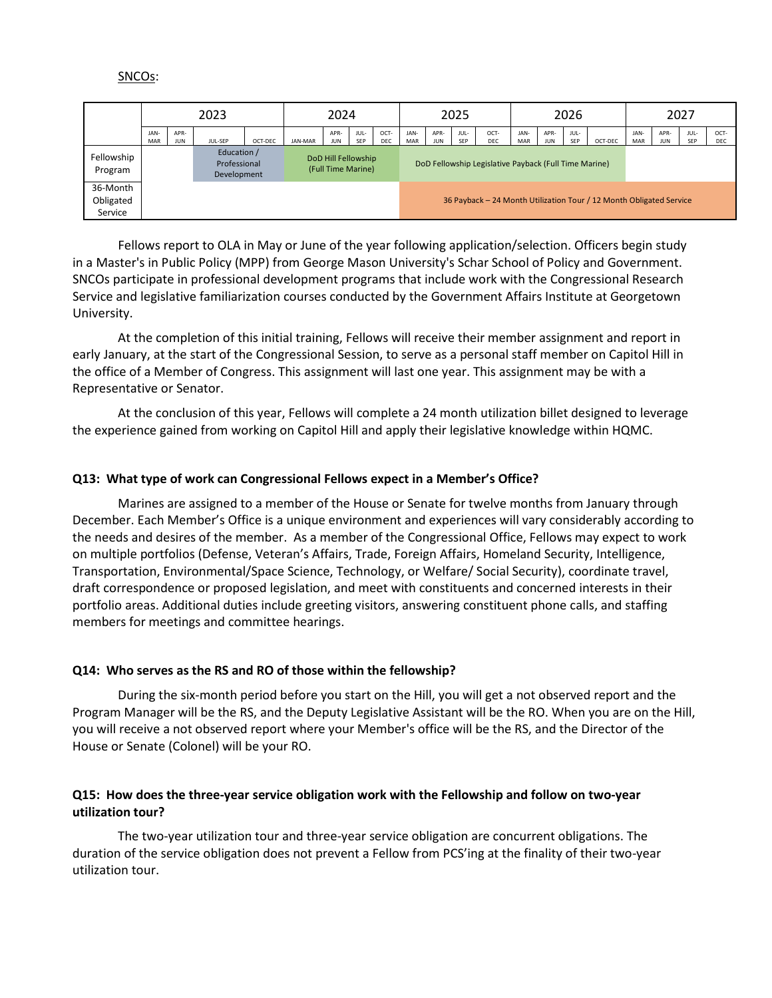#### SNCOs:

|                                  |                    |             | 2023                                       | 2024                                      |         |                    |             | 2025                                                  |             |             |                    |                    |             | 2026        |             | 2027                                                                |             |             |             |             |
|----------------------------------|--------------------|-------------|--------------------------------------------|-------------------------------------------|---------|--------------------|-------------|-------------------------------------------------------|-------------|-------------|--------------------|--------------------|-------------|-------------|-------------|---------------------------------------------------------------------|-------------|-------------|-------------|-------------|
|                                  | JAN-<br><b>MAR</b> | APR-<br>JUN | JUL-SEP                                    | OCT-DEC                                   | JAN-MAR | APR-<br><b>JUN</b> | JUL-<br>SEP | OCT-<br>DEC                                           | JAN-<br>MAR | APR-<br>JUN | JUL-<br><b>SEP</b> | OCT-<br><b>DEC</b> | JAN-<br>MAR | APR-<br>JUN | JUL-<br>SEP | OCT-DEC                                                             | JAN-<br>MAR | APR-<br>JUN | JUL-<br>SEP | OCT-<br>DEC |
| Fellowship<br>Program            |                    |             | Education /<br>Professional<br>Development | DoD Hill Fellowship<br>(Full Time Marine) |         |                    |             | DoD Fellowship Legislative Payback (Full Time Marine) |             |             |                    |                    |             |             |             |                                                                     |             |             |             |             |
| 36-Month<br>Obligated<br>Service |                    |             |                                            |                                           |         |                    |             |                                                       |             |             |                    |                    |             |             |             | 36 Payback - 24 Month Utilization Tour / 12 Month Obligated Service |             |             |             |             |

Fellows report to OLA in May or June of the year following application/selection. Officers begin study in a Master's in Public Policy (MPP) from George Mason University's Schar School of Policy and Government. SNCOs participate in professional development programs that include work with the Congressional Research Service and legislative familiarization courses conducted by the Government Affairs Institute at Georgetown University.

At the completion of this initial training, Fellows will receive their member assignment and report in early January, at the start of the Congressional Session, to serve as a personal staff member on Capitol Hill in the office of a Member of Congress. This assignment will last one year. This assignment may be with a Representative or Senator.

At the conclusion of this year, Fellows will complete a 24 month utilization billet designed to leverage the experience gained from working on Capitol Hill and apply their legislative knowledge within HQMC.

#### **Q13: What type of work can Congressional Fellows expect in a Member's Office?**

Marines are assigned to a member of the House or Senate for twelve months from January through December. Each Member's Office is a unique environment and experiences will vary considerably according to the needs and desires of the member. As a member of the Congressional Office, Fellows may expect to work on multiple portfolios (Defense, Veteran's Affairs, Trade, Foreign Affairs, Homeland Security, Intelligence, Transportation, Environmental/Space Science, Technology, or Welfare/ Social Security), coordinate travel, draft correspondence or proposed legislation, and meet with constituents and concerned interests in their portfolio areas. Additional duties include greeting visitors, answering constituent phone calls, and staffing members for meetings and committee hearings.

#### **Q14: Who serves as the RS and RO of those within the fellowship?**

During the six-month period before you start on the Hill, you will get a not observed report and the Program Manager will be the RS, and the Deputy Legislative Assistant will be the RO. When you are on the Hill, you will receive a not observed report where your Member's office will be the RS, and the Director of the House or Senate (Colonel) will be your RO.

### **Q15: How does the three-year service obligation work with the Fellowship and follow on two-year utilization tour?**

The two-year utilization tour and three-year service obligation are concurrent obligations. The duration of the service obligation does not prevent a Fellow from PCS'ing at the finality of their two-year utilization tour.